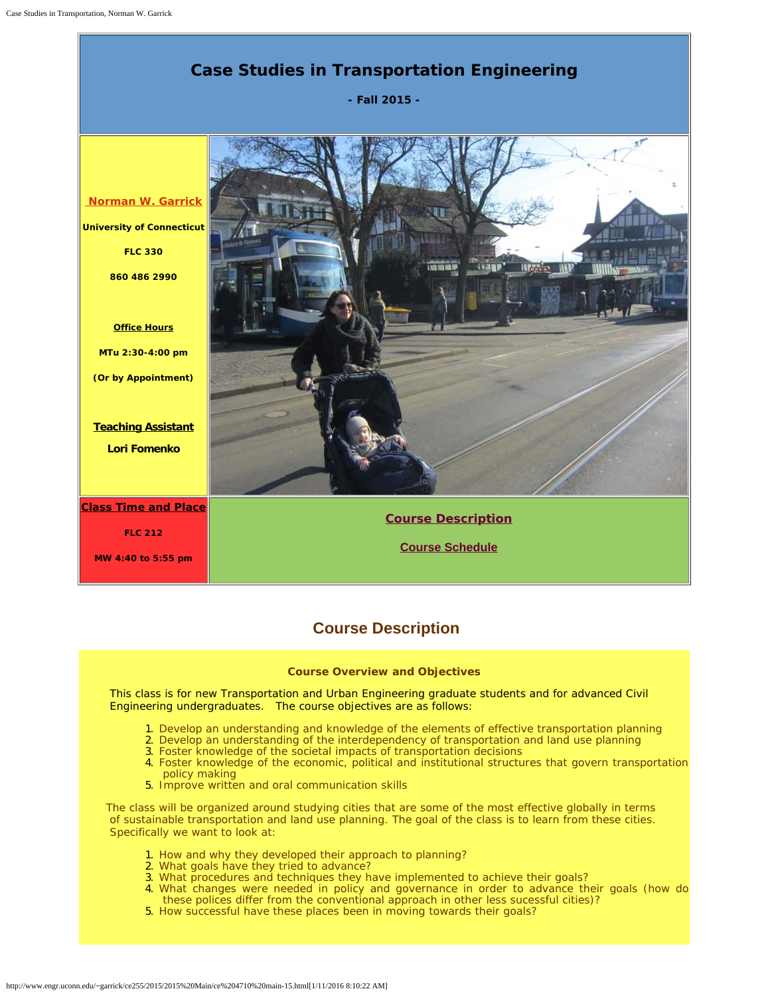

# **Course Description**

#### **Course Overview and Objectives**

This class is for new Transportation and Urban Engineering graduate students and for advanced Civil Engineering undergraduates. The course objectives are as follows:

- 1. Develop an understanding and knowledge of the elements of effective transportation planning
- 2. Develop an understanding of the interdependency of transportation and land use planning
- 3. Foster knowledge of the societal impacts of transportation decisions
- 4. Foster knowledge of the economic, political and institutional structures that govern transportation policy making
- 5. Improve written and oral communication skills

The class will be organized around studying cities that are some of the most effective globally in terms of sustainable transportation and land use planning. The goal of the class is to learn from these cities. Specifically we want to look at:

- 1. How and why they developed their approach to planning?
- 2. What goals have they tried to advance?
- 3. What procedures and techniques they have implemented to achieve their goals?
- 4. What changes were needed in policy and governance in order to advance their goals (how do these polices differ from the conventional approach in other less sucessful cities)?
	- 5. How successful have these places been in moving towards their goals?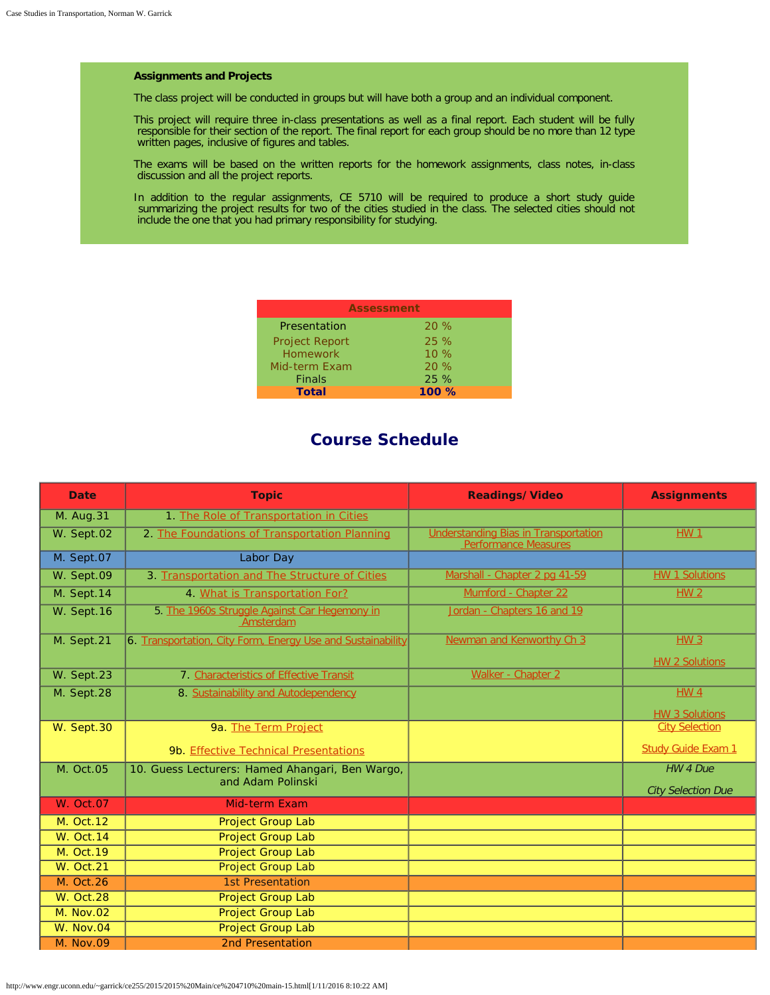#### **Assignments and Projects**

The class project will be conducted in groups but will have both a group and an individual component.

This project will require three in-class presentations as well as a final report. Each student will be fully responsible for their section of the report. The final report for each group should be no more than 12 type written pages, inclusive of figures and tables.

The exams will be based on the written reports for the homework assignments, class notes, in-class discussion and all the project reports.

In addition to the regular assignments, CE 5710 will be required to produce a short study guide summarizing the project results for two of the cities studied in the class. The selected cities should not include the one that you had primary responsibility for studying.

| <b>Assessment</b>     |       |  |  |
|-----------------------|-------|--|--|
| Presentation          | 20%   |  |  |
| <b>Project Report</b> | 25 %  |  |  |
| <b>Homework</b>       | 10%   |  |  |
| Mid-term Exam         | 20%   |  |  |
| <b>Finals</b>         | 25 %  |  |  |
| <b>Total</b>          | 100 % |  |  |

## **Course Schedule**

| <b>Date</b>      | <b>Topic</b>                                                | <b>Readings/Video</b>                                               | <b>Assignments</b>        |
|------------------|-------------------------------------------------------------|---------------------------------------------------------------------|---------------------------|
| M. Aug.31        | 1. The Role of Transportation in Cities                     |                                                                     |                           |
| W. Sept.02       | 2. The Foundations of Transportation Planning               | <b>Understanding Bias in Transportation</b><br>Performance Measures | HW <sub>1</sub>           |
| M. Sept.07       | Labor Day                                                   |                                                                     |                           |
| W. Sept.09       | 3. Transportation and The Structure of Cities               | Marshall - Chapter 2 pg 41-59                                       | <b>HW 1 Solutions</b>     |
| M. Sept.14       | 4. What is Transportation For?                              | Mumford - Chapter 22                                                | HW2                       |
| W. Sept.16       | 5. The 1960s Struggle Against Car Hegemony in<br>Amsterdam  | Jordan - Chapters 16 and 19                                         |                           |
| M. Sept.21       | 6. Transportation, City Form, Energy Use and Sustainability | Newman and Kenworthy Ch 3                                           | HW3                       |
|                  |                                                             |                                                                     | <b>HW 2 Solutions</b>     |
| W. Sept.23       | 7 Characteristics of Effective Transit                      | Walker - Chapter 2                                                  |                           |
| M. Sept.28       | 8. Sustainability and Autodependency                        |                                                                     | HW <sub>4</sub>           |
|                  |                                                             |                                                                     | <b>HW 3 Solutions</b>     |
| W. Sept.30       | 9a. The Term Project                                        |                                                                     | <b>City Selection</b>     |
|                  | 9b. Effective Technical Presentations                       |                                                                     | <b>Study Guide Exam 1</b> |
| M. Oct.05        | 10. Guess Lecturers: Hamed Ahangari, Ben Wargo,             |                                                                     | HW 4 Due                  |
|                  | and Adam Polinski                                           |                                                                     | <b>City Selection Due</b> |
| <b>W. Oct.07</b> | <b>Mid-term Exam</b>                                        |                                                                     |                           |
| M. Oct. 12       | <b>Project Group Lab</b>                                    |                                                                     |                           |
| <b>W. Oct.14</b> | <b>Project Group Lab</b>                                    |                                                                     |                           |
| M. Oct. 19       | <b>Project Group Lab</b>                                    |                                                                     |                           |
| <b>W. Oct.21</b> | <b>Project Group Lab</b>                                    |                                                                     |                           |
| <b>M. Oct.26</b> | <b>1st Presentation</b>                                     |                                                                     |                           |
| <b>W. Oct.28</b> | <b>Project Group Lab</b>                                    |                                                                     |                           |
| <b>M. Nov.02</b> | <b>Project Group Lab</b>                                    |                                                                     |                           |
| <b>W. Nov.04</b> | <b>Project Group Lab</b>                                    |                                                                     |                           |
| <b>M. Nov.09</b> | 2nd Presentation                                            |                                                                     |                           |